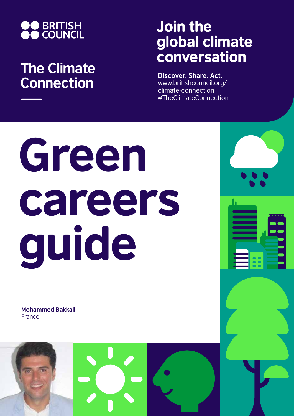

## **The Climate Connection**

## Join the global climate conversation

**Discover. Share. Act.** www.britishcouncil.org/ climate-connection #TheClimateConnection

# Green careers guide

**Mohammed Bakkali** France

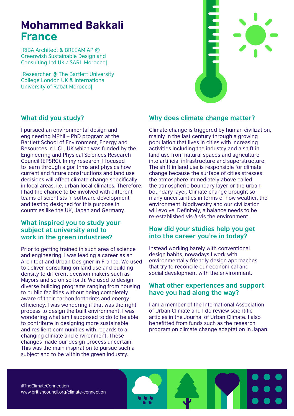### Mohammed Bakkali France

|RIBA Architect & BREEAM AP @ Greenwish Sustainable Design and Consulting Ltd UK / SARL Morocco|

|Researcher @ The Bartlett University College London UK & International University of Rabat Morocco|



#### **What did you study?**

I pursued an environmental design and engineering MPhil – PhD program at the Bartlett School of Environment, Energy and Resources in UCL, UK which was funded by the Engineering and Physical Sciences Research Council (EPSRC). In my research, I focused to learn through algorithms and physics how current and future constructions and land use decisions will affect climate change specifically in local areas, i.e. urban local climates. Therefore, I had the chance to be involved with different teams of scientists in software development and testing designed for this purpose in countries like the UK, Japan and Germany.

#### **What inspired you to study your subject at university and to work in the green industries?**

Prior to getting trained in such area of science and engineering, I was leading a career as an Architect and Urban Designer in France. We used to deliver consulting on land use and building density to different decision makers such as Mayors and so on so forth. We used to design diverse building programs ranging from housing to public facilities without being completely aware of their carbon footprints and energy efficiency. I was wondering if that was the right process to design the built environment. I was wondering what am I supposed to do to be able to contribute in designing more sustainable and resilient communities with regards to a changing climate and environment. These changes made our design process uncertain. This was the main inspiration to pursue such a subject and to be within the green industry.

#### **Why does climate change matter?**

Climate change is triggered by human civilization, mainly in the last century through a growing population that lives in cities with increasing activities including the industry and a shift in land use from natural spaces and agriculture into artificial infrastructure and superstructure. The shift in land use is responsible for climate change because the surface of cities stresses the atmosphere immediately above called the atmospheric boundary layer or the urban boundary layer. Climate change brought so many uncertainties in terms of how weather, the environment, biodiversity and our civilization will evolve. Definitely, a balance needs to be re-established vis-à-vis the environment.

#### **How did your studies help you get into the career you're in today?**

Instead working barely with conventional design habits, nowadays I work with environmentally friendly design approaches that try to reconcile our economical and social development with the environment.

#### **What other experiences and support have you had along the way?**

I am a member of the International Association of Urban Climate and I do review scientific articles in the Journal of Urban Climate. I also benefitted from funds such as the research program on climate change adaptation in Japan.

#TheClimateConnection www.britishcouncil.org/climate-connection